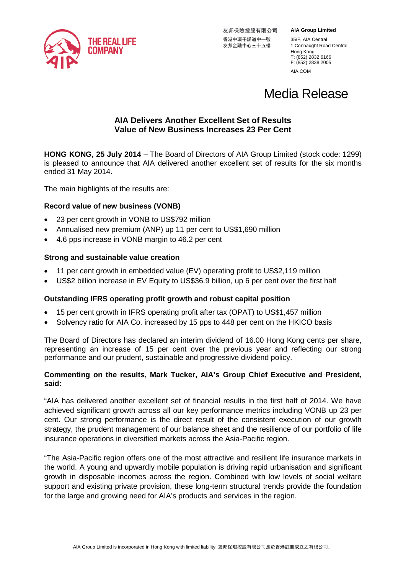

友邦保險控股有限公司 友邦金融中心三十五樓

**AIA Group Limited**

香港中環干諾道中一號 35/F, AIA Central<br>友邦金融中心三十五樓 1 Connaught Road Central Hong Kong T: (852) 2832 6166 F: (852) 2838 2005 AIA.COM

# Media Release

# **AIA Delivers Another Excellent Set of Results Value of New Business Increases 23 Per Cent**

**HONG KONG, 25 July 2014** – The Board of Directors of AIA Group Limited (stock code: 1299) is pleased to announce that AIA delivered another excellent set of results for the six months ended 31 May 2014.

The main highlights of the results are:

# **Record value of new business (VONB)**

- 23 per cent growth in VONB to US\$792 million
- Annualised new premium (ANP) up 11 per cent to US\$1,690 million
- 4.6 pps increase in VONB margin to 46.2 per cent

# **Strong and sustainable value creation**

- 11 per cent growth in embedded value (EV) operating profit to US\$2,119 million
- US\$2 billion increase in EV Equity to US\$36.9 billion, up 6 per cent over the first half

# **Outstanding IFRS operating profit growth and robust capital position**

- 15 per cent growth in IFRS operating profit after tax (OPAT) to US\$1,457 million
- Solvency ratio for AIA Co. increased by 15 pps to 448 per cent on the HKICO basis

The Board of Directors has declared an interim dividend of 16.00 Hong Kong cents per share, representing an increase of 15 per cent over the previous year and reflecting our strong performance and our prudent, sustainable and progressive dividend policy.

# **Commenting on the results, Mark Tucker, AIA's Group Chief Executive and President, said:**

"AIA has delivered another excellent set of financial results in the first half of 2014. We have achieved significant growth across all our key performance metrics including VONB up 23 per cent. Our strong performance is the direct result of the consistent execution of our growth strategy, the prudent management of our balance sheet and the resilience of our portfolio of life insurance operations in diversified markets across the Asia-Pacific region.

"The Asia-Pacific region offers one of the most attractive and resilient life insurance markets in the world. A young and upwardly mobile population is driving rapid urbanisation and significant growth in disposable incomes across the region. Combined with low levels of social welfare support and existing private provision, these long-term structural trends provide the foundation for the large and growing need for AIA's products and services in the region.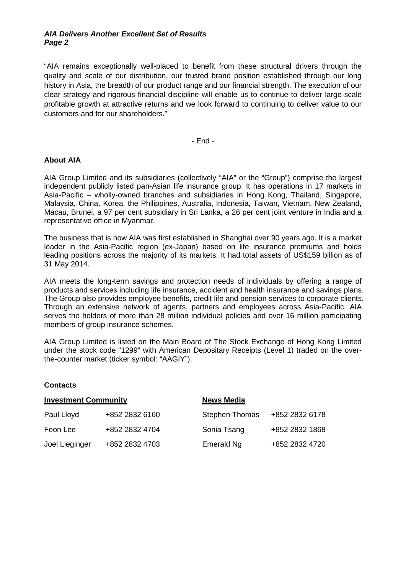## *AIA Delivers Another Excellent Set of Results Page 2*

"AIA remains exceptionally well-placed to benefit from these structural drivers through the quality and scale of our distribution, our trusted brand position established through our long history in Asia, the breadth of our product range and our financial strength. The execution of our clear strategy and rigorous financial discipline will enable us to continue to deliver large-scale profitable growth at attractive returns and we look forward to continuing to deliver value to our customers and for our shareholders."

- End -

#### **About AIA**

AIA Group Limited and its subsidiaries (collectively "AIA" or the "Group") comprise the largest independent publicly listed pan-Asian life insurance group. It has operations in 17 markets in Asia-Pacific – wholly-owned branches and subsidiaries in Hong Kong, Thailand, Singapore, Malaysia, China, Korea, the Philippines, Australia, Indonesia, Taiwan, Vietnam, New Zealand, Macau, Brunei, a 97 per cent subsidiary in Sri Lanka, a 26 per cent joint venture in India and a representative office in Myanmar.

The business that is now AIA was first established in Shanghai over 90 years ago. It is a market leader in the Asia-Pacific region (ex-Japan) based on life insurance premiums and holds leading positions across the majority of its markets. It had total assets of US\$159 billion as of 31 May 2014.

AIA meets the long-term savings and protection needs of individuals by offering a range of products and services including life insurance, accident and health insurance and savings plans. The Group also provides employee benefits, credit life and pension services to corporate clients. Through an extensive network of agents, partners and employees across Asia-Pacific, AIA serves the holders of more than 28 million individual policies and over 16 million participating members of group insurance schemes.

AIA Group Limited is listed on the Main Board of The Stock Exchange of Hong Kong Limited under the stock code "1299" with American Depositary Receipts (Level 1) traded on the overthe-counter market (ticker symbol: "AAGIY").

#### **Contacts**

| <b>Investment Community</b> |                | <b>News Media</b>     |                |  |  |  |  |
|-----------------------------|----------------|-----------------------|----------------|--|--|--|--|
| Paul Lloyd                  | +852 2832 6160 | <b>Stephen Thomas</b> | +852 2832 6178 |  |  |  |  |
| Feon Lee                    | +852 2832 4704 | Sonia Tsang           | +852 2832 1868 |  |  |  |  |
| Joel Lieginger              | +852 2832 4703 | Emerald Ng            | +852 2832 4720 |  |  |  |  |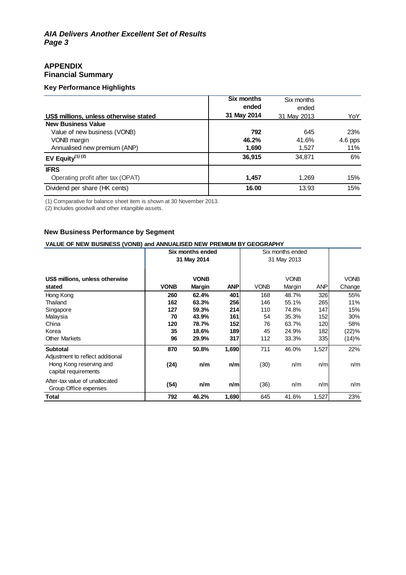# **APPENDIX Financial Summary**

#### **Key Performance Highlights**

| US\$ millions, unless otherwise stated | <b>Six months</b><br>ended<br>31 May 2014 | Six months<br>ended<br>31 May 2013 | YoY        |
|----------------------------------------|-------------------------------------------|------------------------------------|------------|
| <b>New Business Value</b>              |                                           |                                    |            |
| Value of new business (VONB)           | 792                                       | 645                                | <b>23%</b> |
| VONB margin                            | 46.2%                                     | 41.6%                              | 4.6 pps    |
| Annualised new premium (ANP)           | 1,690                                     | 1,527                              | 11%        |
| EV Equity <sup>(1) (2)</sup>           | 36,915                                    | 34.871                             | 6%         |
| <b>IFRS</b>                            |                                           |                                    |            |
| Operating profit after tax (OPAT)      | 1,457                                     | 1.269                              | 15%        |
| Dividend per share (HK cents)          | 16.00                                     | 13.93                              | 15%        |

(1) Comparative for balance sheet item is shown at 30 November 2013.

(2) Includes goodwill and other intangible assets.

## **New Business Performance by Segment**

#### **VALUE OF NEW BUSINESS (VONB) and ANNUALISED NEW PREMIUM BY GEOGRAPHY**

| $\lambda$ and $\lambda$ in the contract of $\lambda$ and $\lambda$ and $\lambda$    |                  |               |                  |             |             |            |             |  |  |  |  |
|-------------------------------------------------------------------------------------|------------------|---------------|------------------|-------------|-------------|------------|-------------|--|--|--|--|
|                                                                                     | Six months ended |               | Six months ended |             |             |            |             |  |  |  |  |
|                                                                                     | 31 May 2014      |               | 31 May 2013      |             |             |            |             |  |  |  |  |
|                                                                                     |                  |               |                  |             |             |            |             |  |  |  |  |
|                                                                                     |                  |               |                  |             |             |            |             |  |  |  |  |
| US\$ millions, unless otherwise                                                     |                  | <b>VONB</b>   |                  |             | <b>VONB</b> |            | <b>VONB</b> |  |  |  |  |
| stated                                                                              | <b>VONB</b>      | <b>Margin</b> | <b>ANP</b>       | <b>VONB</b> | Margin      | <b>ANP</b> | Change      |  |  |  |  |
| Hong Kong                                                                           | 260              | 62.4%         | 401              | 168         | 48.7%       | 326        | 55%         |  |  |  |  |
| Thailand                                                                            | 162              | 63.3%         | 256              | 146         | 55.1%       | 265        | 11%         |  |  |  |  |
| Singapore                                                                           | 127              | 59.3%         | 214              | 110         | 74.8%       | 147        | 15%         |  |  |  |  |
| Malaysia                                                                            | 70               | 43.9%         | 161              | 54          | 35.3%       | 152        | 30%         |  |  |  |  |
| China                                                                               | 120              | 78.7%         | 152              | 76          | 63.7%       | 120        | 58%         |  |  |  |  |
| Korea                                                                               | 35               | 18.6%         | 189              | 45          | 24.9%       | 182        | (22)%       |  |  |  |  |
| <b>Other Markets</b>                                                                | 96               | 29.9%         | 317              | 112         | 33.3%       | 335        | (14)%       |  |  |  |  |
| <b>Subtotal</b>                                                                     | 870              | 50.8%         | 1,690            | 711         | 46.0%       | 1,527      | 22%         |  |  |  |  |
| Adjustment to reflect additional<br>Hong Kong reserving and<br>capital requirements | (24)             | n/m           | n/m              | (30)        | n/m         | n/m        | n/m         |  |  |  |  |
| After-tax value of unallocated<br>Group Office expenses                             | (54)             | n/m           | n/m              | (36)        | n/m         | n/m        | n/m         |  |  |  |  |
| <b>Total</b>                                                                        | 792              | 46.2%         | 1,690            | 645         | 41.6%       | 1,527      | 23%         |  |  |  |  |